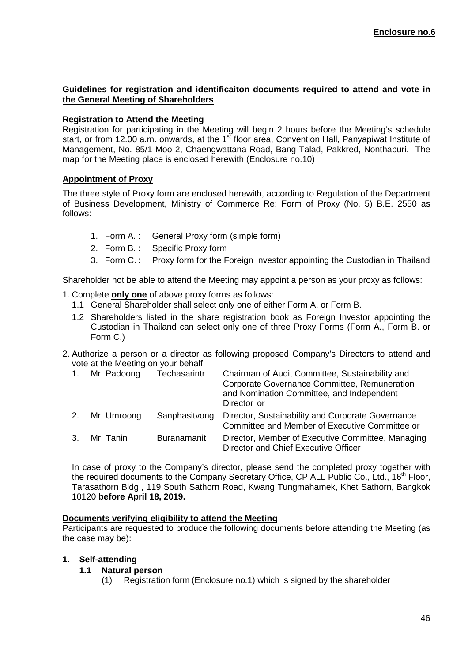#### **Guidelines for registration and identificaiton documents required to attend and vote in the General Meeting of Shareholders**

## **Registration to Attend the Meeting**

Registration for participating in the Meeting will begin 2 hours before the Meeting's schedule start, or from 12.00 a.m. onwards, at the 1 $<sup>st</sup>$  floor area, Convention Hall, Panyapiwat Institute of</sup> Management, No. 85/1 Moo 2, Chaengwattana Road, Bang-Talad, Pakkred, Nonthaburi. The map for the Meeting place is enclosed herewith (Enclosure no.10)

# **Appointment of Proxy**

The three style of Proxy form are enclosed herewith, according to Regulation of the Department of Business Development, Ministry of Commerce Re: Form of Proxy (No. 5) B.E. 2550 as follows:

- 1. Form A. : General Proxy form (simple form)
- 2. Form B. : Specific Proxy form
- 3. Form C. : Proxy form for the Foreign Investor appointing the Custodian in Thailand

Shareholder not be able to attend the Meeting may appoint a person as your proxy as follows:

- 1. Complete **only one** of above proxy forms as follows:
	- 1.1 General Shareholder shall select only one of either Form A. or Form B.
	- 1.2 Shareholders listed in the share registration book as Foreign Investor appointing the Custodian in Thailand can select only one of three Proxy Forms (Form A., Form B. or Form C.)
- 2. Authorize a person or a director as following proposed Company's Directors to attend and vote at the Meeting on your behalf

| Mr. Padoong    | Techasarintr       | Chairman of Audit Committee, Sustainability and<br>Corporate Governance Committee, Remuneration<br>and Nomination Committee, and Independent<br>Director or |
|----------------|--------------------|-------------------------------------------------------------------------------------------------------------------------------------------------------------|
| 2. Mr. Umroong | Sanphasitvong      | Director, Sustainability and Corporate Governance<br>Committee and Member of Executive Committee or                                                         |
| 3. Mr. Tanin   | <b>Buranamanit</b> | Director, Member of Executive Committee, Managing<br>Director and Chief Executive Officer                                                                   |

In case of proxy to the Company's director, please send the completed proxy together with the required documents to the Company Secretary Office, CP ALL Public Co., Ltd., 16<sup>th</sup> Floor, Tarasathorn Bldg., 119 South Sathorn Road, Kwang Tungmahamek, Khet Sathorn, Bangkok 10120 **before April 18, 2019.** 

### **Documents verifying eligibility to attend the Meeting**

Participants are requested to produce the following documents before attending the Meeting (as the case may be):

### **1. Self-attending**

- **1.1 Natural person** 
	- (1) Registration form (Enclosure no.1) which is signed by the shareholder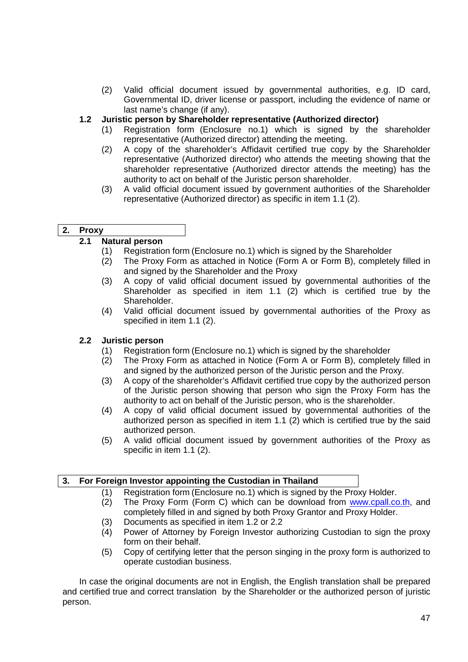(2) Valid official document issued by governmental authorities, e.g. ID card, Governmental ID, driver license or passport, including the evidence of name or last name's change (if any).

## **1.2 Juristic person by Shareholder representative (Authorized director)**

- (1) Registration form (Enclosure no.1) which is signed by the shareholder representative (Authorized director) attending the meeting.
- (2) A copy of the shareholder's Affidavit certified true copy by the Shareholder representative (Authorized director) who attends the meeting showing that the shareholder representative (Authorized director attends the meeting) has the authority to act on behalf of the Juristic person shareholder.
- (3) A valid official document issued by government authorities of the Shareholder representative (Authorized director) as specific in item 1.1 (2).

### **2. Proxy**

# **2.1 Natural person**

- (1) Registration form (Enclosure no.1) which is signed by the Shareholder
- (2) The Proxy Form as attached in Notice (Form A or Form B), completely filled in and signed by the Shareholder and the Proxy
- (3) A copy of valid official document issued by governmental authorities of the Shareholder as specified in item 1.1 (2) which is certified true by the Shareholder.
- (4) Valid official document issued by governmental authorities of the Proxy as specified in item 1.1 (2).

### **2.2 Juristic person**

- (1) Registration form (Enclosure no.1) which is signed by the shareholder
- (2) The Proxy Form as attached in Notice (Form A or Form B), completely filled in and signed by the authorized person of the Juristic person and the Proxy.
- (3) A copy of the shareholder's Affidavit certified true copy by the authorized person of the Juristic person showing that person who sign the Proxy Form has the authority to act on behalf of the Juristic person, who is the shareholder.
- (4) A copy of valid official document issued by governmental authorities of the authorized person as specified in item 1.1 (2) which is certified true by the said authorized person.
- (5) A valid official document issued by government authorities of the Proxy as specific in item 1.1 (2).

### **3. For Foreign Investor appointing the Custodian in Thailand**

- (1) Registration form (Enclosure no.1) which is signed by the Proxy Holder.
- (2) The Proxy Form (Form C) which can be download from www.cpall.co.th, and completely filled in and signed by both Proxy Grantor and Proxy Holder.
- (3) Documents as specified in item 1.2 or 2.2
- (4) Power of Attorney by Foreign Investor authorizing Custodian to sign the proxy form on their behalf.
- (5) Copy of certifying letter that the person singing in the proxy form is authorized to operate custodian business.

In case the original documents are not in English, the English translation shall be prepared and certified true and correct translation by the Shareholder or the authorized person of juristic person.